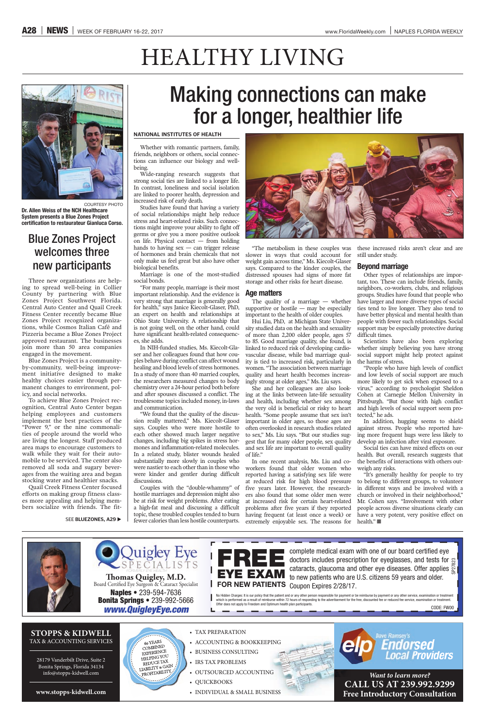**www.stopps-kidwell.com** 

**STOPPS & KIDWELL** TAX & ACCOUNTING SERVICES

28179 Vanderbilt Drive, Suite 2 Bonita Springs, Florida 34134 info@stopps-kidwell.com

*www.QuigleyEye.com* **Naples** • 239-594-7636 **Bonita Springs • 239-992-5666** 

60 YEARS

COMBINED EXPERIENCE

HELPING YOU REDUCE TAX REDUCE IAA ROFITABILITY

# **FOR NEW PATIENTS** Coupon Expires 2/28/17.

doctors includes prescription for eyeglasses, and tests for g cataracts, glaucoma and other eye diseases. Offer applies  $\tilde{\Sigma}$ 

• TAX PREPARATION

L

- ACCOUNTING & BOOKKEEPING
- BUSINESS CONSULTING
- IRS TAX PROBLEMS
- $\bullet$  OUTSOURCED ACCOUNTING
- QUICKBOOKS
- INDIVIDUAL & SMALL BUSINESS



*Want to learn more?* **CALL US AT 239.992.9299 Free Introductory Consultation**





# HEALTHY LIVING

### Blue Zones Project welcomes three new participants

Three new organizations are helping to spread well-being in Collier County by partnering with Blue Zones Project Southwest Florida. Central Auto Center and Quail Creek Fitness Center recently became Blue Zones Project recognized organizations, while Cosmos Italian Café and Pizzeria became a Blue Zones Project approved restaurant. The businesses join more than 50 area companies engaged in the movement.

Blue Zones Project is a communityby-community, well-being improvement initiative designed to make healthy choices easier through permanent changes to environment, policy, and social networks.

To achieve Blue Zones Project recognition, Central Auto Center began helping employees and customers implement the best practices of the "Power 9," or the nine commonalities of people around the world who are living the longest. Staff produced area maps to encourage customers to walk while they wait for their automobile to be serviced. The center also removed all soda and sugary beverages from the waiting area and began stocking water and healthier snacks.

Quail Creek Fitness Center focused efforts on making group fitness classes more appealing and helping members socialize with friends. The fit-

SEE **BLUEZONES, A29** 

## Making connections can make for a longer, healthier life

### **NATIONAL INSTITUTES OF HEALTH**

Whether with romantic partners, family, friends, neighbors or others, social connections can influence our biology and wellbeing.

Wide-ranging research suggests that strong social ties are linked to a longer life. In contrast, loneliness and social isolation are linked to poorer health, depression and increased risk of early death.

> In one recent analysis, Ms. Liu and coworkers found that older women who reported having a satisfying sex life were at reduced risk for high blood pressure five years later. However, the researchers also found that some older men were at increased risk for certain heart-related problems after five years if they reported having frequent (at least once a week) or extremely enjoyable sex. The reasons for health."

Studies have found that having a variety of social relationships might help reduce stress and heart-related risks. Such connections might improve your ability to fight off germs or give you a more positive outlook on life. Physical contact — from holding hands to having sex — can trigger release of hormones and brain chemicals that not only make us feel great but also have other biological benefits.

Marriage is one of the most-studied social bonds.

"For many people, marriage is their most important relationship. And the evidence is very strong that marriage is generally good for health," says Janice Kiecolt-Glaser, PhD, an expert on health and relationships at Ohio State University. A relationship that is not going well, on the other hand, could have significant health-related consequences, she adds.

In NIH-funded studies, Ms. Kiecolt-Glaser and her colleagues found that how couples behave during conflict can affect wound healing and blood levels of stress hormones. In a study of more than 40 married couples, the researchers measured changes to body chemistry over a 24-hour period both before and after spouses discussed a conflict. The troublesome topics included money, in-laws and communication.

"We found that the quality of the discussion really mattered," Ms. Kiecolt-Glaser says. Couples who were more hostile to each other showed much larger negative changes, including big spikes in stress hormones and inflammation-related molecules. In a related study, blister wounds healed substantially more slowly in couples who were nastier to each other than in those who were kinder and gentler during difficult discussions.

Couples with the "double-whammy" of hostile marriages and depression might also be at risk for weight problems. After eating a high-fat meal and discussing a difficult topic, these troubled couples tended to burn fewer calories than less hostile counterparts.



"The metabolism in these couples was slower in ways that could account for still under study. weight gain across time," Ms. Kiecolt-Glaser says. Compared to the kinder couples, the distressed spouses had signs of more fat storage and other risks for heart disease.

### **Age matters**

The quality of a marriage — whether supportive or hostile — may be especially important to the health of older couples.

Hui Liu, PhD, at Michigan State University studied data on the health and sexuality of more than 2,200 older people, ages 57 to 85. Good marriage quality, she found, is linked to reduced risk of developing cardiovascular disease, while bad marriage quality is tied to increased risk, particularly in women. "The association between marriage quality and heart health becomes increasingly strong at older ages," Ms. Liu says.

She and her colleagues are also looking at the links between late-life sexuality and health, including whether sex among the very old is beneficial or risky to heart health. "Some people assume that sex isn't important in older ages, so those ages are often overlooked in research studies related to sex," Ms. Liu says. "But our studies suggest that for many older people, sex quality and sex life are important to overall quality of life."

these increased risks aren't clear and are

### **Beyond marriage**

Other types of relationships are important, too. These can include friends, family, neighbors, co-workers, clubs, and religious groups. Studies have found that people who have larger and more diverse types of social ties tend to live longer. They also tend to have better physical and mental health than people with fewer such relationships. Social support may be especially protective during difficult times.

Scientists have also been exploring whether simply believing you have strong social support might help protect against the harms of stress.

"People who have high levels of conflict and low levels of social support are much more likely to get sick when exposed to a virus," according to psychologist Sheldon Cohen at Carnegie Mellon University in Pittsburgh. "But those with high conflict and high levels of social support seem protected," he ads.

In addition, hugging seems to shield against stress. People who reported having more frequent hugs were less likely to develop an infection after viral exposure.

Social ties can have mixed effects on our health. But overall, research suggests that the benefits of interactions with others outweigh any risks.

"It's generally healthy for people to try to belong to different groups, to volunteer in different ways and be involved with a church or involved in their neighborhood," Mr. Cohen says. "Involvement with other people across diverse situations clearly can have a very potent, very positive effect on



COURTESY PHOTO

**Dr. Allen Weiss of the NCH Healthcare System presents a Blue Zones Project certification to restaurateur Gianluca Corso.**